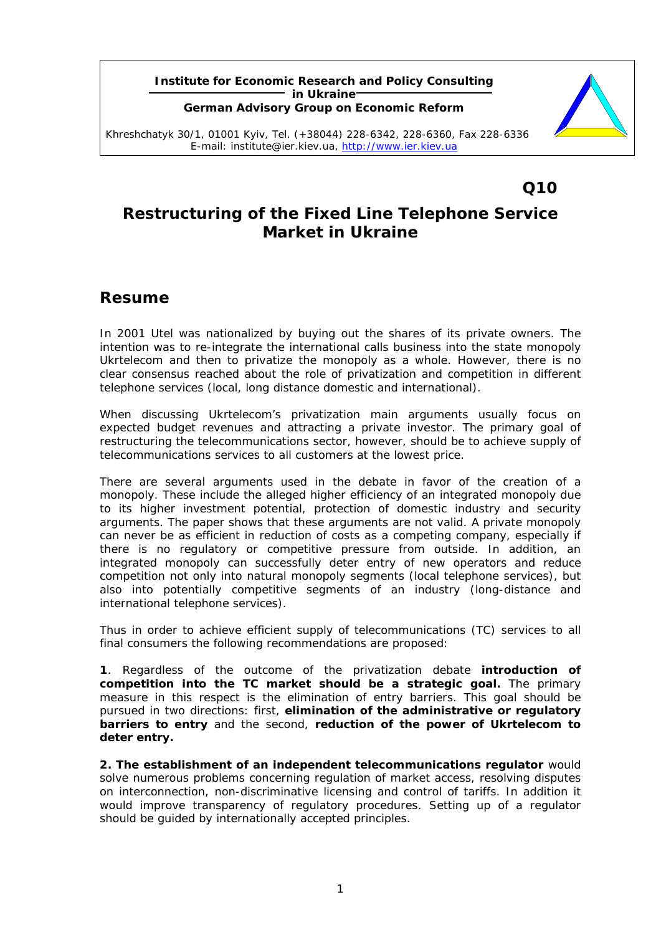#### **Institute for Economic Research and Policy Consulting in Ukraine German Advisory Group on Economic Reform**



Khreshchatyk 30/1, 01001 Kyiv, Tel. (+38044) 228-6342, 228-6360, Fax 228-6336 E-mail: institute@ier.kiev.ua, http://www.ier.kiev.ua

# **Q10**

# **Restructuring of the Fixed Line Telephone Service Market in Ukraine**

### **Resume**

In 2001 Utel was nationalized by buying out the shares of its private owners. The intention was to re-integrate the international calls business into the state monopoly Ukrtelecom and then to privatize the monopoly as a whole. However, there is no clear consensus reached about the role of privatization and competition in different telephone services (local, long distance domestic and international).

When discussing Ukrtelecom's privatization main arguments usually focus on expected budget revenues and attracting a private investor. The primary goal of restructuring the telecommunications sector, however, should be to achieve supply of telecommunications services to all customers at the lowest price.

There are several arguments used in the debate in favor of the creation of a monopoly. These include the alleged higher efficiency of an integrated monopoly due to its higher investment potential, protection of domestic industry and security arguments. The paper shows that these arguments are not valid. A private monopoly can never be as efficient in reduction of costs as a competing company, especially if there is no regulatory or competitive pressure from outside. In addition, an integrated monopoly can successfully deter entry of new operators and reduce competition not only into natural monopoly segments (local telephone services), but also into potentially competitive segments of an industry (long-distance and international telephone services).

Thus in order to achieve efficient supply of telecommunications (TC) services to all final consumers the following recommendations are proposed:

**1**. Regardless of the outcome of the privatization debate *introduction of competition into the TC market should be a strategic goal.* The primary measure in this respect is the elimination of entry barriers. This goal should be pursued in two directions: first, **elimination of the administrative or regulatory barriers to entry** and the second, **reduction of the power of Ukrtelecom to deter entry.** 

**2.** *The establishment of an independent telecommunications regulator* would solve numerous problems concerning regulation of market access, resolving disputes on interconnection, non-discriminative licensing and control of tariffs. In addition it would improve transparency of regulatory procedures. Setting up of a regulator should be guided by internationally accepted principles.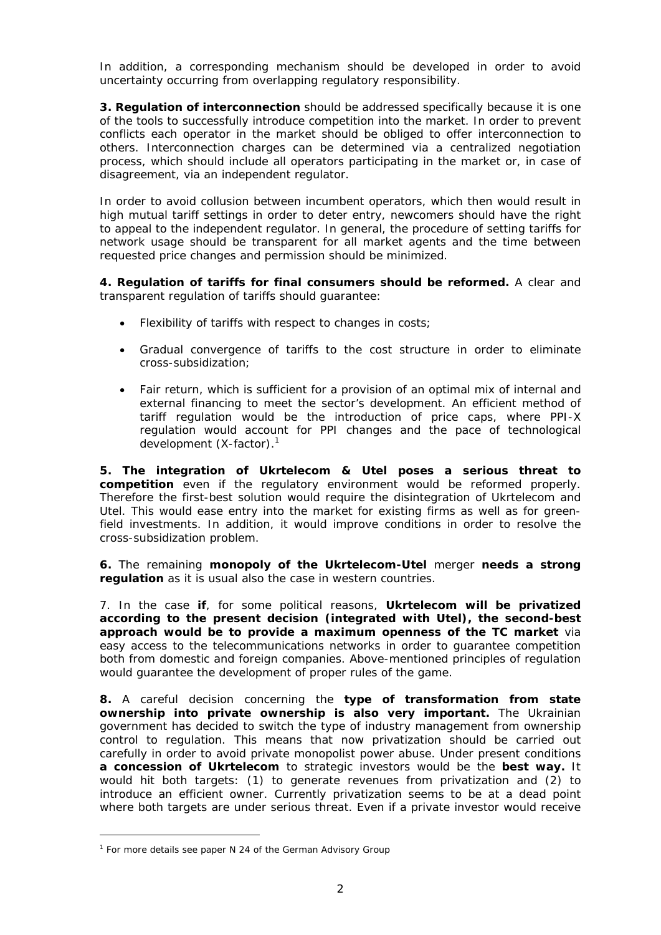In addition, a corresponding mechanism should be developed in order to avoid uncertainty occurring from overlapping regulatory responsibility.

**3.** *Regulation of interconnection* should be addressed specifically because it is one of the tools to successfully introduce competition into the market. In order to prevent conflicts each operator in the market should be obliged to offer interconnection to others. Interconnection charges can be determined via a centralized negotiation process, which should include all operators participating in the market or, in case of disagreement, via an independent regulator.

In order to avoid collusion between incumbent operators, which then would result in high mutual tariff settings in order to deter entry, newcomers should have the right to appeal to the independent regulator. In general, the procedure of setting tariffs for network usage should be transparent for all market agents and the time between requested price changes and permission should be minimized.

*4. Regulation of tariffs for final consumers should be reformed.* A clear and transparent regulation of tariffs should guarantee:

- Flexibility of tariffs with respect to changes in costs;
- Gradual convergence of tariffs to the cost structure in order to eliminate cross-subsidization;
- Fair return, which is sufficient for a provision of an optimal mix of internal and external financing to meet the sector's development. An efficient method of tariff regulation would be the introduction of price caps, where PPI-X regulation would account for PPI changes and the pace of technological development (X-factor).<sup>1</sup>

*5. The integration of Ukrtelecom & Utel poses a serious threat to competition* even if the regulatory environment would be reformed properly. Therefore the first-best solution would require the disintegration of Ukrtelecom and Utel. This would ease entry into the market for existing firms as well as for greenfield investments. In addition, it would improve conditions in order to resolve the cross-subsidization problem.

**6.** The remaining **monopoly of the Ukrtelecom-Utel** merger **needs a strong regulation** as it is usual also the case in western countries.

7. In the case **if**, for some political reasons, *Ukrtelecom will be privatized according to the present decision (integrated with Utel), the second-best approach would be to provide a maximum openness of the TC market* via easy access to the telecommunications networks in order to guarantee competition both from domestic and foreign companies. Above-mentioned principles of regulation would guarantee the development of proper rules of the game.

*8.* A careful decision concerning the *type of transformation from state ownership into private ownership is also very important.* The Ukrainian government has decided to switch the type of industry management from ownership control to regulation. This means that now privatization should be carried out carefully in order to avoid private monopolist power abuse. Under present conditions *a concession of Ukrtelecom* to strategic investors would be the *best way.* It would hit both targets: (1) to generate revenues from privatization and (2) to introduce an efficient owner. Currently privatization seems to be at a dead point where both targets are under serious threat. Even if a private investor would receive

<sup>&</sup>lt;sup>1</sup> For more details see paper N 24 of the German Advisory Group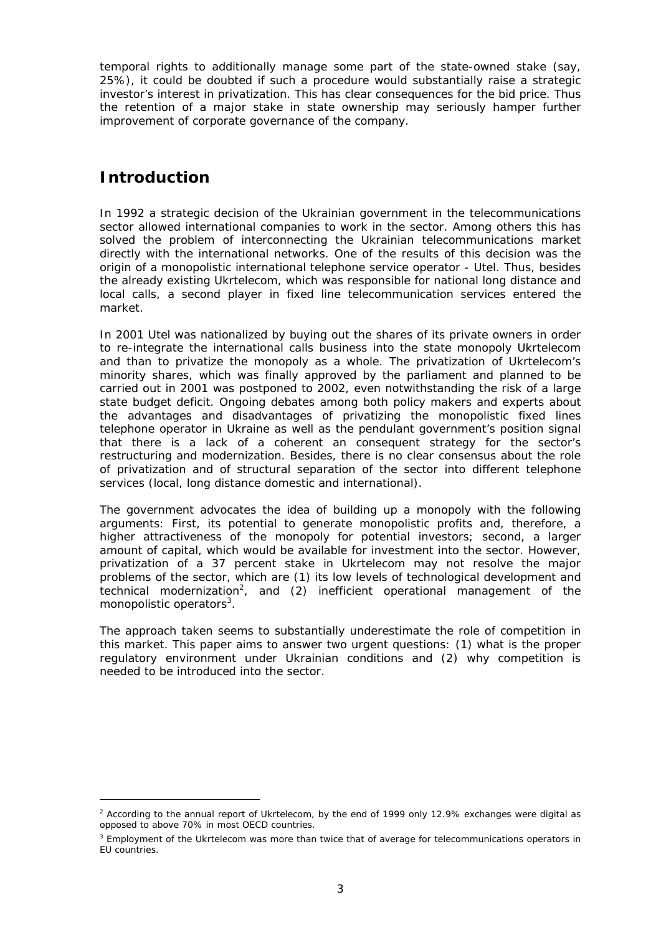temporal rights to additionally manage some part of the state-owned stake (say, 25%), it could be doubted if such a procedure would substantially raise a strategic investor's interest in privatization. This has clear consequences for the bid price. Thus the retention of a major stake in state ownership may seriously hamper further improvement of corporate governance of the company.

# **Introduction**

1

In 1992 a strategic decision of the Ukrainian government in the telecommunications sector allowed international companies to work in the sector. Among others this has solved the problem of interconnecting the Ukrainian telecommunications market directly with the international networks. One of the results of this decision was the origin of a monopolistic international telephone service operator - Utel. Thus, besides the already existing Ukrtelecom, which was responsible for national long distance and local calls, a second player in fixed line telecommunication services entered the market.

In 2001 Utel was nationalized by buying out the shares of its private owners in order to re-integrate the international calls business into the state monopoly Ukrtelecom and than to privatize the monopoly as a whole. The privatization of Ukrtelecom's minority shares, which was finally approved by the parliament and planned to be carried out in 2001 was postponed to 2002, even notwithstanding the risk of a large state budget deficit. Ongoing debates among both policy makers and experts about the advantages and disadvantages of privatizing the monopolistic fixed lines telephone operator in Ukraine as well as the pendulant government's position signal that there is a lack of a coherent an consequent strategy for the sector's restructuring and modernization. Besides, there is no clear consensus about the role of privatization and of structural separation of the sector into different telephone services (local, long distance domestic and international).

The government advocates the idea of building up a monopoly with the following arguments: First, its potential to generate monopolistic profits and, therefore, a higher attractiveness of the monopoly for potential investors; second, a larger amount of capital, which would be available for investment into the sector. However, privatization of a 37 percent stake in Ukrtelecom may not resolve the major problems of the sector, which are (1) its low levels of technological development and technical modernization<sup>2</sup>, and (2) inefficient operational management of the monopolistic operators<sup>3</sup>.

The approach taken seems to substantially underestimate the role of competition in this market. This paper aims to answer two urgent questions: (1) what is the proper regulatory environment under Ukrainian conditions and (2) why competition is needed to be introduced into the sector.

<sup>&</sup>lt;sup>2</sup> According to the annual report of Ukrtelecom, by the end of 1999 only 12.9% exchanges were digital as opposed to above 70% in most OECD countries.

<sup>&</sup>lt;sup>3</sup> Employment of the Ukrtelecom was more than twice that of average for telecommunications operators in EU countries.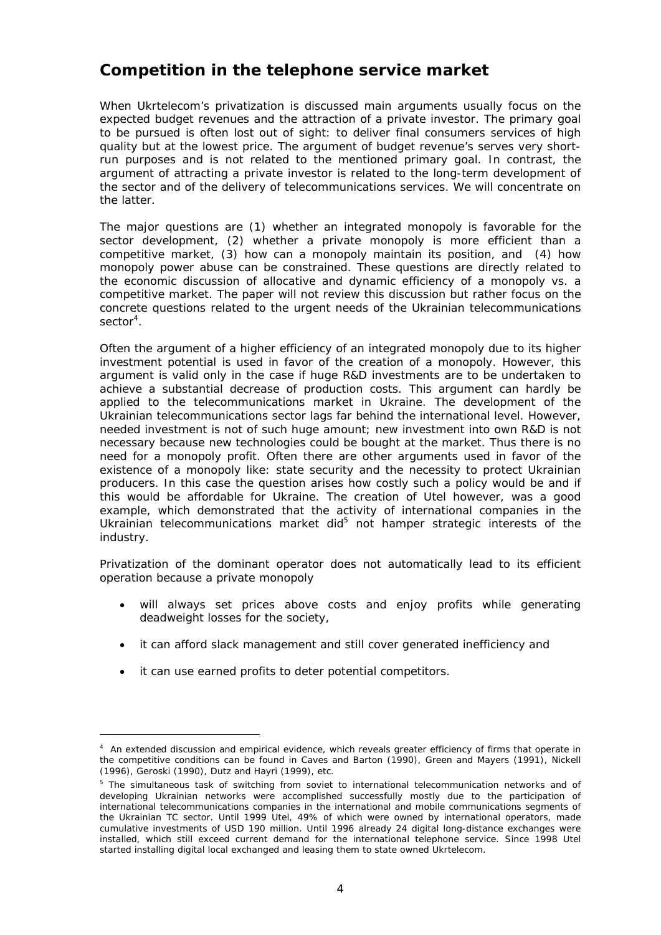# **Competition in the telephone service market**

When Ukrtelecom's privatization is discussed main arguments usually focus on the expected budget revenues and the attraction of a private investor. The primary goal to be pursued is often lost out of sight: to deliver final consumers services of high quality but at the lowest price. The argument of budget revenue's serves very shortrun purposes and is not related to the mentioned primary goal. In contrast, the argument of attracting a private investor is related to the long-term development of the sector and of the delivery of telecommunications services. We will concentrate on the latter.

The major questions are (1) whether an integrated monopoly is favorable for the sector development, (2) whether a private monopoly is more efficient than a competitive market, (3) how can a monopoly maintain its position, and (4) how monopoly power abuse can be constrained. These questions are directly related to the economic discussion of allocative and dynamic efficiency of a monopoly vs. a competitive market. The paper will not review this discussion but rather focus on the concrete questions related to the urgent needs of the Ukrainian telecommunications sector<sup>4</sup>.

Often the argument of a higher efficiency of an integrated monopoly due to its higher investment potential is used in favor of the creation of a monopoly. However, this argument is valid only in the case if huge R&D investments are to be undertaken to achieve a substantial decrease of production costs. This argument can hardly be applied to the telecommunications market in Ukraine. The development of the Ukrainian telecommunications sector lags far behind the international level. However, needed investment is not of such huge amount; new investment into own R&D is not necessary because new technologies could be bought at the market. Thus there is no need for a monopoly profit. Often there are other arguments used in favor of the existence of a monopoly like: state security and the necessity to protect Ukrainian producers. In this case the question arises how costly such a policy would be and if this would be affordable for Ukraine. The creation of Utel however, was a good example, which demonstrated that the activity of international companies in the Ukrainian telecommunications market did<sup>5</sup> not hamper strategic interests of the industry.

Privatization of the dominant operator does not automatically lead to its efficient operation because a private monopoly

- will always set prices above costs and enjoy profits while generating deadweight losses for the society,
- it can afford slack management and still cover generated inefficiency and
- it can use earned profits to deter potential competitors.

 $\overline{a}$ 

<sup>&</sup>lt;sup>4</sup> An extended discussion and empirical evidence, which reveals greater efficiency of firms that operate in the competitive conditions can be found in Caves and Barton (1990), Green and Mayers (1991), Nickell (1996), Geroski (1990), Dutz and Hayri (1999), etc.

<sup>&</sup>lt;sup>5</sup> The simultaneous task of switching from soviet to international telecommunication networks and of developing Ukrainian networks were accomplished successfully mostly due to the participation of international telecommunications companies in the international and mobile communications segments of the Ukrainian TC sector. Until 1999 Utel, 49% of which were owned by international operators, made cumulative investments of USD 190 million. Until 1996 already 24 digital long-distance exchanges were installed, which still exceed current demand for the international telephone service. Since 1998 Utel started installing digital local exchanged and leasing them to state owned Ukrtelecom.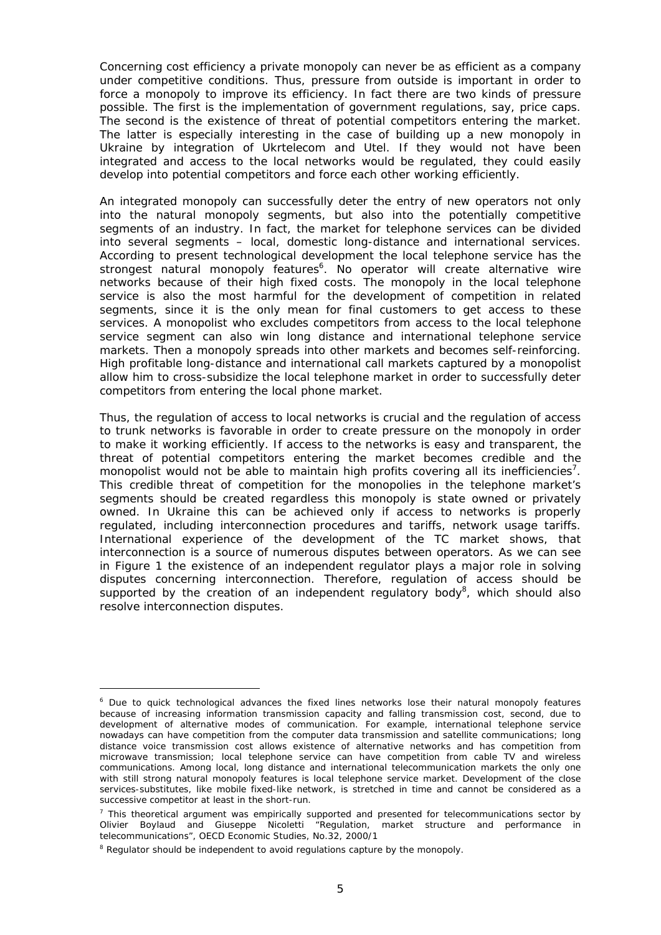Concerning cost efficiency a private monopoly can never be as efficient as a company under competitive conditions. Thus, pressure from outside is important in order to force a monopoly to improve its efficiency. In fact there are two kinds of pressure possible. The first is the implementation of government regulations, say, price caps. The second is the existence of threat of potential competitors entering the market. The latter is especially interesting in the case of building up a new monopoly in Ukraine by integration of Ukrtelecom and Utel. If they would not have been integrated and access to the local networks would be regulated, they could easily develop into potential competitors and force each other working efficiently.

An integrated monopoly can successfully deter the entry of new operators not only into the natural monopoly segments, but also into the potentially competitive segments of an industry. In fact, the market for telephone services can be divided into several segments – local, domestic long-distance and international services. According to present technological development the local telephone service has the strongest natural monopoly features<sup>6</sup>. No operator will create alternative wire networks because of their high fixed costs. The monopoly in the local telephone service is also the most harmful for the development of competition in related segments, since it is the only mean for final customers to get access to these services. A monopolist who excludes competitors from access to the local telephone service segment can also win long distance and international telephone service markets. Then a monopoly spreads into other markets and becomes self-reinforcing. High profitable long-distance and international call markets captured by a monopolist allow him to cross-subsidize the local telephone market in order to successfully deter competitors from entering the local phone market.

Thus, the regulation of access to local networks is crucial and the regulation of access to trunk networks is favorable in order to create pressure on the monopoly in order to make it working efficiently. If access to the networks is easy and transparent, the threat of potential competitors entering the market becomes credible and the monopolist would not be able to maintain high profits covering all its inefficiencies<sup>7</sup>. This credible threat of competition for the monopolies in the telephone market's segments should be created regardless this monopoly is state owned or privately owned. In Ukraine this can be achieved only if access to networks is properly regulated, including interconnection procedures and tariffs, network usage tariffs. International experience of the development of the TC market shows, that interconnection is a source of numerous disputes between operators. As we can see in Figure 1 the existence of an independent regulator plays a major role in solving disputes concerning interconnection. Therefore, regulation of access should be supported by the creation of an independent regulatory body<sup>8</sup>, which should also resolve interconnection disputes.

<sup>&</sup>lt;sup>6</sup> Due to quick technological advances the fixed lines networks lose their natural monopoly features because of increasing information transmission capacity and falling transmission cost, second, due to development of alternative modes of communication. For example, international telephone service nowadays can have competition from the computer data transmission and satellite communications; long distance voice transmission cost allows existence of alternative networks and has competition from microwave transmission; local telephone service can have competition from cable TV and wireless communications. Among local, long distance and international telecommunication markets the only one with still strong natural monopoly features is local telephone service market. Development of the close services-substitutes, like mobile fixed-like network, is stretched in time and cannot be considered as a successive competitor at least in the short-run.

 $<sup>7</sup>$  This theoretical argument was empirically supported and presented for telecommunications sector by</sup> Olivier Boylaud and Giuseppe Nicoletti "Regulation, market structure and performance in telecommunications", *OECD Economic Studies*, No.32, 2000/1

<sup>&</sup>lt;sup>8</sup> Regulator should be independent to avoid regulations capture by the monopoly.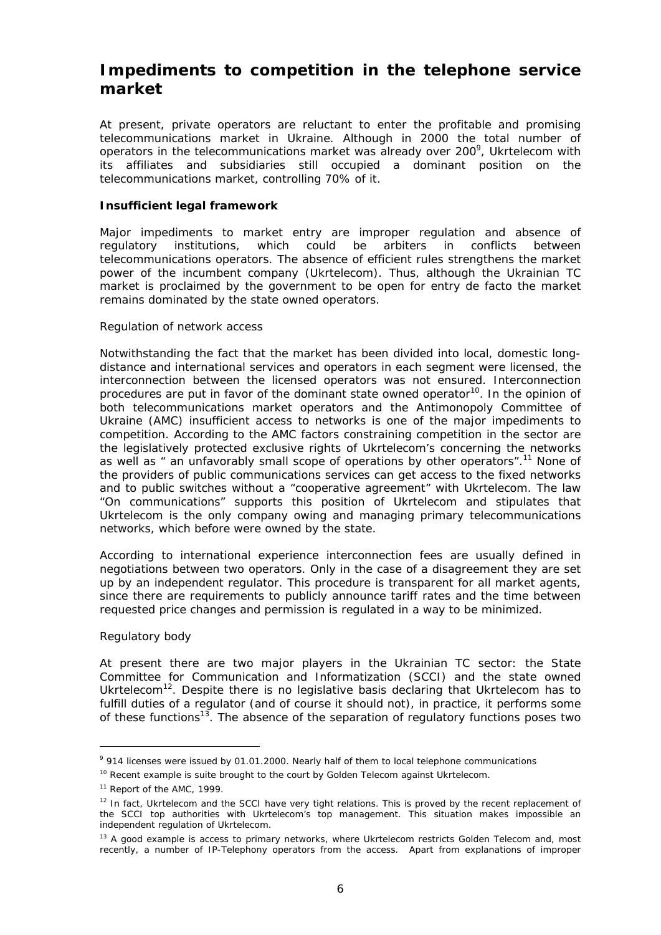# **Impediments to competition in the telephone service market**

At present, private operators are reluctant to enter the profitable and promising telecommunications market in Ukraine. Although in 2000 the total number of operators in the telecommunications market was already over 200<sup>9</sup>, Ukrtelecom with its affiliates and subsidiaries still occupied a dominant position on the telecommunications market, controlling 70% of it.

#### **Insufficient legal framework**

Major impediments to market entry are improper regulation and absence of regulatory institutions, which could be arbiters in conflicts between telecommunications operators. The absence of efficient rules strengthens the market power of the incumbent company (Ukrtelecom). Thus, although the Ukrainian TC market is proclaimed by the government to be open for entry de facto the market remains dominated by the state owned operators.

#### *Regulation of network access*

Notwithstanding the fact that the market has been divided into local, domestic longdistance and international services and operators in each segment were licensed, the interconnection between the licensed operators was not ensured. Interconnection procedures are put in favor of the dominant state owned operator<sup>10</sup>. In the opinion of both telecommunications market operators and the Antimonopoly Committee of Ukraine (AMC) insufficient access to networks is one of the major impediments to competition. According to the AMC factors constraining competition in the sector are the legislatively protected exclusive rights of Ukrtelecom's concerning the networks as well as " an unfavorably small scope of operations by other operators".11 None of the providers of public communications services can get access to the fixed networks and to public switches without a "cooperative agreement" with Ukrtelecom. The law "On communications" supports this position of Ukrtelecom and stipulates that Ukrtelecom is the only company owing and managing primary telecommunications networks, which before were owned by the state.

According to international experience interconnection fees are usually defined in negotiations between two operators. Only in the case of a disagreement they are set up by an independent regulator. This procedure is transparent for all market agents, since there are requirements to publicly announce tariff rates and the time between requested price changes and permission is regulated in a way to be minimized.

#### *Regulatory body*

 $\overline{a}$ 

At present there are two major players in the Ukrainian TC sector: the State Committee for Communication and Informatization (SCCI) and the state owned Ukrtelecom<sup>12</sup>. Despite there is no legislative basis declaring that Ukrtelecom has to fulfill duties of a regulator (and of course it should not), in practice, it performs some of these functions<sup>13</sup>. The absence of the separation of regulatory functions poses two

<sup>&</sup>lt;sup>9</sup> 914 licenses were issued by 01.01.2000. Nearly half of them to local telephone communications

<sup>&</sup>lt;sup>10</sup> Recent example is suite brought to the court by Golden Telecom against Ukrtelecom.

<sup>&</sup>lt;sup>11</sup> Report of the AMC, 1999.

<sup>&</sup>lt;sup>12</sup> In fact, Ukrtelecom and the SCCI have very tight relations. This is proved by the recent replacement of the SCCI top authorities with Ukrtelecom's top management. This situation makes impossible an independent regulation of Ukrtelecom.

<sup>&</sup>lt;sup>13</sup> A good example is access to primary networks, where Ukrtelecom restricts Golden Telecom and, most recently, a number of IP-Telephony operators from the access. Apart from explanations of improper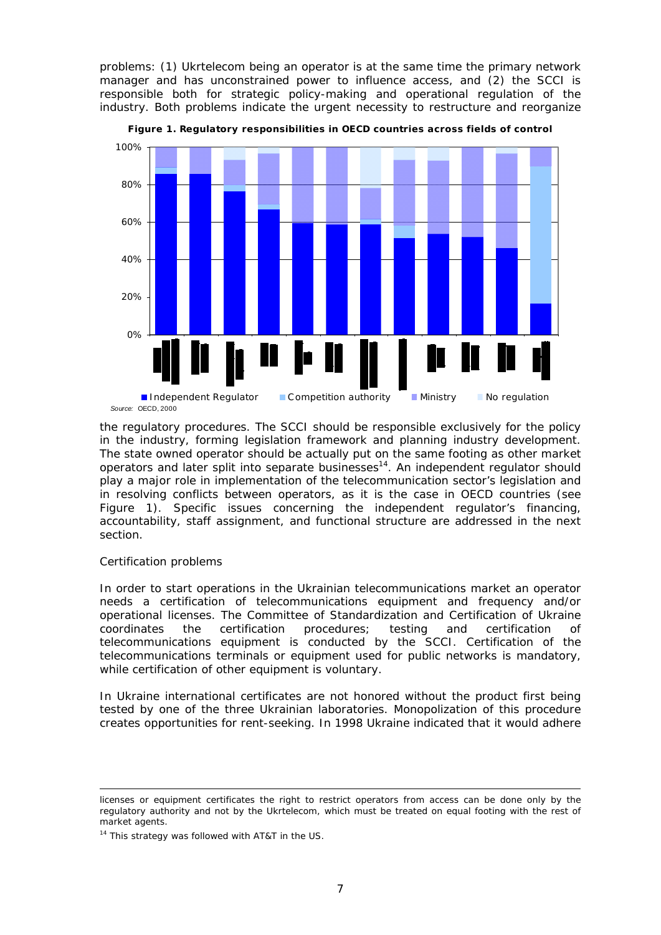problems: (1) Ukrtelecom being an operator is at the same time the primary network manager and has unconstrained power to influence access, and (2) the SCCI is responsible both for strategic policy-making and operational regulation of the industry. Both problems indicate the urgent necessity to restructure and reorganize



**Figure 1. Regulatory responsibilities in OECD countries across fields of control**

the regulatory procedures. The SCCI should be responsible exclusively for the policy in the industry, forming legislation framework and planning industry development. The state owned operator should be actually put on the same footing as other market operators and later split into separate businesses<sup>14</sup>. An independent regulator should play a major role in implementation of the telecommunication sector's legislation and in resolving conflicts between operators, as it is the case in OECD countries (see Figure 1). Specific issues concerning the independent regulator's financing, accountability, staff assignment, and functional structure are addressed in the next section.

#### *Certification problems*

In order to start operations in the Ukrainian telecommunications market an operator needs a certification of telecommunications equipment and frequency and/or operational licenses. The Committee of Standardization and Certification of Ukraine coordinates the certification procedures; testing and certification of telecommunications equipment is conducted by the SCCI. Certification of the telecommunications terminals or equipment used for public networks is mandatory, while certification of other equipment is voluntary.

In Ukraine international certificates are not honored without the product first being tested by one of the three Ukrainian laboratories. Monopolization of this procedure creates opportunities for rent-seeking. In 1998 Ukraine indicated that it would adhere

licenses or equipment certificates the right to restrict operators from access can be done only by the regulatory authority and not by the Ukrtelecom, which must be treated on equal footing with the rest of market agents.

<sup>&</sup>lt;sup>14</sup> This strategy was followed with AT&T in the US.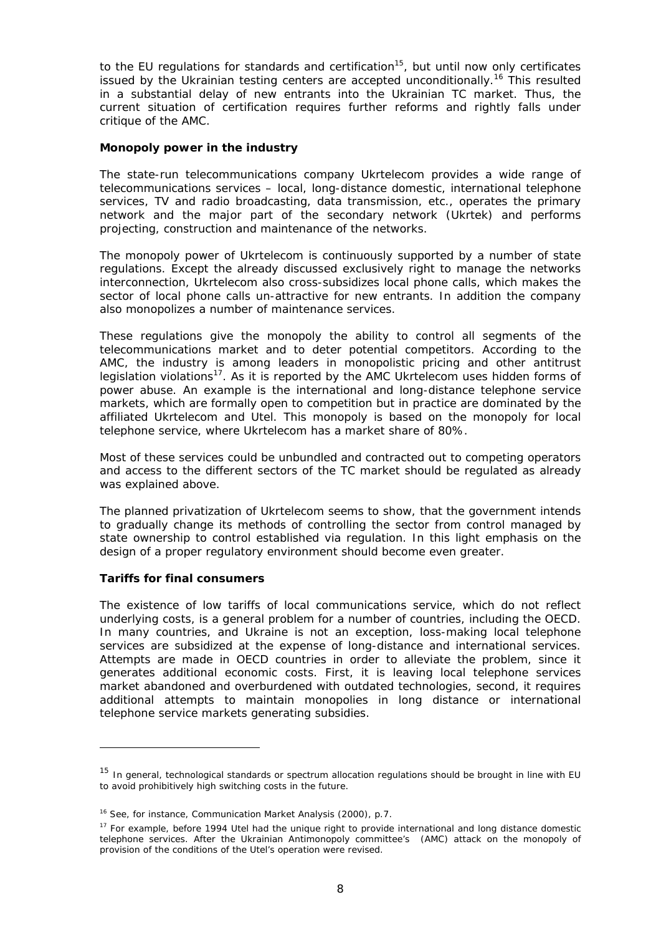to the EU regulations for standards and certification<sup>15</sup>, but until now only certificates issued by the Ukrainian testing centers are accepted unconditionally.<sup>16</sup> This resulted in a substantial delay of new entrants into the Ukrainian TC market. Thus, the current situation of certification requires further reforms and rightly falls under critique of the AMC.

#### **Monopoly power in the industry**

The state-run telecommunications company Ukrtelecom provides a wide range of telecommunications services – local, long-distance domestic, international telephone services, TV and radio broadcasting, data transmission, etc., operates the primary network and the major part of the secondary network (Ukrtek) and performs projecting, construction and maintenance of the networks.

The monopoly power of Ukrtelecom is continuously supported by a number of state regulations. Except the already discussed exclusively right to manage the networks interconnection, Ukrtelecom also cross-subsidizes local phone calls, which makes the sector of local phone calls un-attractive for new entrants. In addition the company also monopolizes a number of maintenance services.

These regulations give the monopoly the ability to control all segments of the telecommunications market and to deter potential competitors. According to the AMC, the industry is among leaders in monopolistic pricing and other antitrust legislation violations<sup>17</sup>. As it is reported by the AMC Ukrtelecom uses hidden forms of power abuse. An example is the international and long-distance telephone service markets, which are formally open to competition but in practice are dominated by the affiliated Ukrtelecom and Utel. This monopoly is based on the monopoly for local telephone service, where Ukrtelecom has a market share of 80%.

Most of these services could be unbundled and contracted out to competing operators and access to the different sectors of the TC market should be regulated as already was explained above.

The planned privatization of Ukrtelecom seems to show, that the government intends to gradually change its methods of controlling the sector from control managed by state ownership to control established via regulation. In this light emphasis on the design of a proper regulatory environment should become even greater.

#### **Tariffs for final consumers**

The existence of low tariffs of local communications service, which do not reflect underlying costs, is a general problem for a number of countries, including the OECD. In many countries, and Ukraine is not an exception, loss-making local telephone services are subsidized at the expense of long-distance and international services. Attempts are made in OECD countries in order to alleviate the problem, since it generates additional economic costs. First, it is leaving local telephone services market abandoned and overburdened with outdated technologies, second, it requires additional attempts to maintain monopolies in long distance or international telephone service markets generating subsidies.

<sup>&</sup>lt;sup>15</sup> In general, technological standards or spectrum allocation regulations should be brought in line with EU to avoid prohibitively high switching costs in the future.

<sup>&</sup>lt;sup>16</sup> See, for instance, Communication Market Analysis (2000), p.7.

<sup>&</sup>lt;sup>17</sup> For example, before 1994 Utel had the unique right to provide international and long distance domestic telephone services. After the Ukrainian Antimonopoly committee's (AMC) attack on the monopoly of provision of the conditions of the Utel's operation were revised.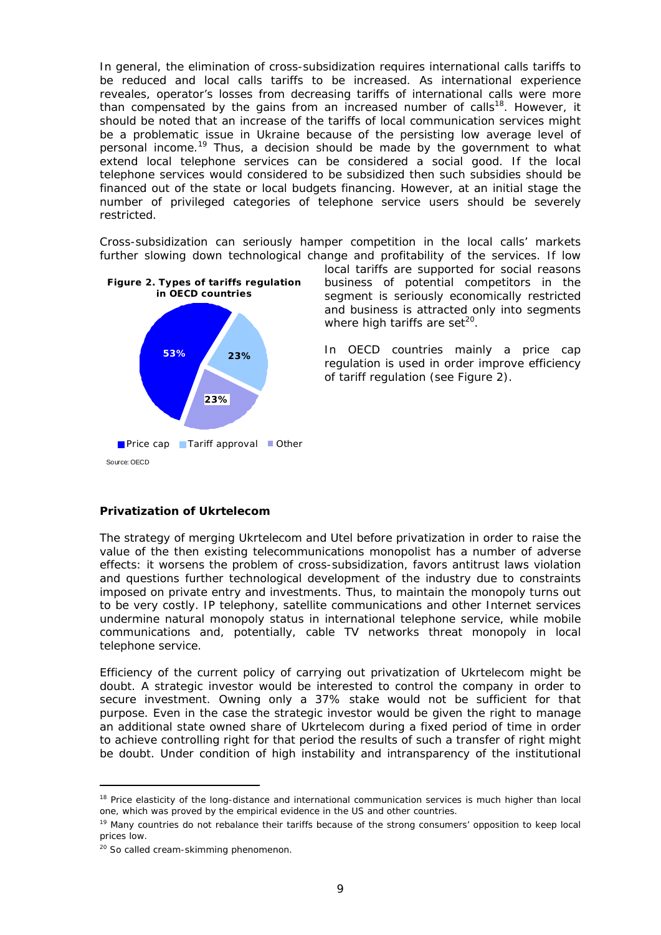In general, the elimination of cross-subsidization requires international calls tariffs to be reduced and local calls tariffs to be increased. As international experience reveales, operator's losses from decreasing tariffs of international calls were more than compensated by the gains from an increased number of calls<sup>18</sup>. However, it should be noted that an increase of the tariffs of local communication services might be a problematic issue in Ukraine because of the persisting low average level of personal income.<sup>19</sup> Thus, a decision should be made by the government to what extend local telephone services can be considered a social good. If the local telephone services would considered to be subsidized then such subsidies should be financed out of the state or local budgets financing. However, at an initial stage the number of privileged categories of telephone service users should be severely restricted.

Cross-subsidization can seriously hamper competition in the local calls' markets further slowing down technological change and profitability of the services. If low



local tariffs are supported for social reasons business of potential competitors in the segment is seriously economically restricted and business is attracted only into segments where high tariffs are set $20$ .

In OECD countries mainly a price cap regulation is used in order improve efficiency of tariff regulation (see Figure 2).

#### **Privatization of Ukrtelecom**

The strategy of merging Ukrtelecom and Utel before privatization in order to raise the value of the then existing telecommunications monopolist has a number of adverse effects: it worsens the problem of cross-subsidization, favors antitrust laws violation and questions further technological development of the industry due to constraints imposed on private entry and investments. Thus, to maintain the monopoly turns out to be very costly. IP telephony, satellite communications and other Internet services undermine natural monopoly status in international telephone service, while mobile communications and, potentially, cable TV networks threat monopoly in local telephone service.

Efficiency of the current policy of carrying out privatization of Ukrtelecom might be doubt. A strategic investor would be interested to control the company in order to secure investment. Owning only a 37% stake would not be sufficient for that purpose. Even in the case the strategic investor would be given the right to manage an additional state owned share of Ukrtelecom during a fixed period of time in order to achieve controlling right for that period the results of such a transfer of right might be doubt. Under condition of high instability and intransparency of the institutional

 $\overline{a}$ 

<sup>&</sup>lt;sup>18</sup> Price elasticity of the long-distance and international communication services is much higher than local one, which was proved by the empirical evidence in the US and other countries.

<sup>&</sup>lt;sup>19</sup> Many countries do not rebalance their tariffs because of the strong consumers' opposition to keep local prices low.

<sup>&</sup>lt;sup>20</sup> So called cream-skimming phenomenon.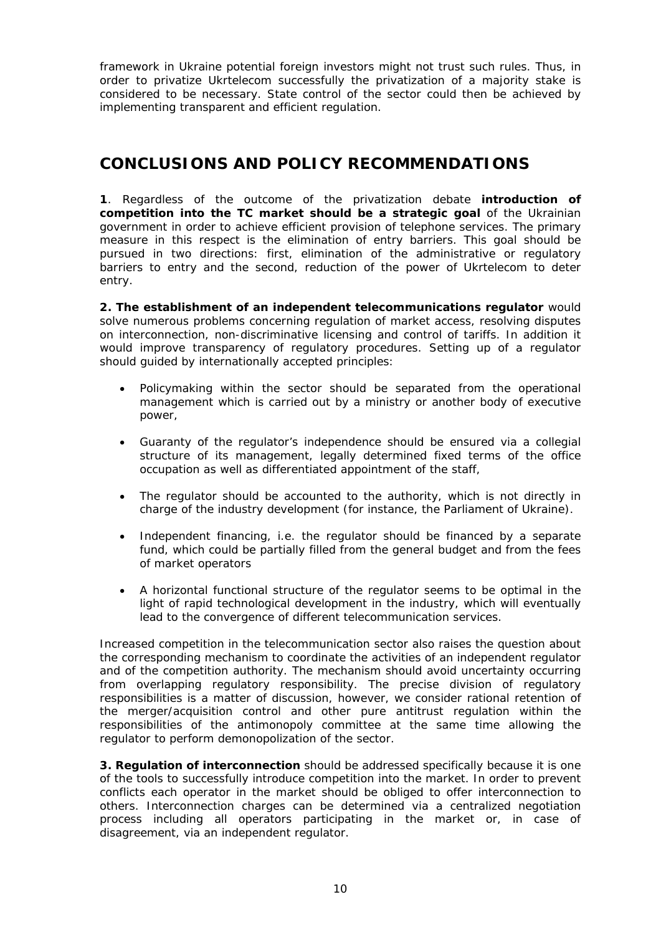framework in Ukraine potential foreign investors might not trust such rules. Thus, in order to privatize Ukrtelecom successfully the privatization of a majority stake is considered to be necessary. State control of the sector could then be achieved by implementing transparent and efficient regulation.

# **CONCLUSIONS AND POLICY RECOMMENDATIONS**

**1**. Regardless of the outcome of the privatization debate *introduction of*  competition into the TC market should be a strategic goal of the Ukrainian government in order to achieve efficient provision of telephone services. The primary measure in this respect is the elimination of entry barriers. This goal should be pursued in two directions: first, elimination of the administrative or regulatory barriers to entry and the second, reduction of the power of Ukrtelecom to deter entry.

**2.** *The establishment of an independent telecommunications regulator* would solve numerous problems concerning regulation of market access, resolving disputes on interconnection, non-discriminative licensing and control of tariffs. In addition it would improve transparency of regulatory procedures. Setting up of a regulator should guided by internationally accepted principles:

- Policymaking within the sector should be separated from the operational management which is carried out by a ministry or another body of executive power,
- Guaranty of the regulator's independence should be ensured via a collegial structure of its management, legally determined fixed terms of the office occupation as well as differentiated appointment of the staff,
- The regulator should be accounted to the authority, which is not directly in charge of the industry development (for instance, the Parliament of Ukraine).
- Independent financing, i.e. the regulator should be financed by a separate fund, which could be partially filled from the general budget and from the fees of market operators
- A horizontal functional structure of the regulator seems to be optimal in the light of rapid technological development in the industry, which will eventually lead to the convergence of different telecommunication services.

Increased competition in the telecommunication sector also raises the question about the corresponding mechanism to coordinate the activities of an independent regulator and of the competition authority. The mechanism should avoid uncertainty occurring from overlapping regulatory responsibility. The precise division of regulatory responsibilities is a matter of discussion, however, we consider rational retention of the merger/acquisition control and other pure antitrust regulation within the responsibilities of the antimonopoly committee at the same time allowing the regulator to perform demonopolization of the sector.

**3.** *Regulation of interconnection* should be addressed specifically because it is one of the tools to successfully introduce competition into the market. In order to prevent conflicts each operator in the market should be obliged to offer interconnection to others. Interconnection charges can be determined via a centralized negotiation process including all operators participating in the market or, in case of disagreement, via an independent regulator.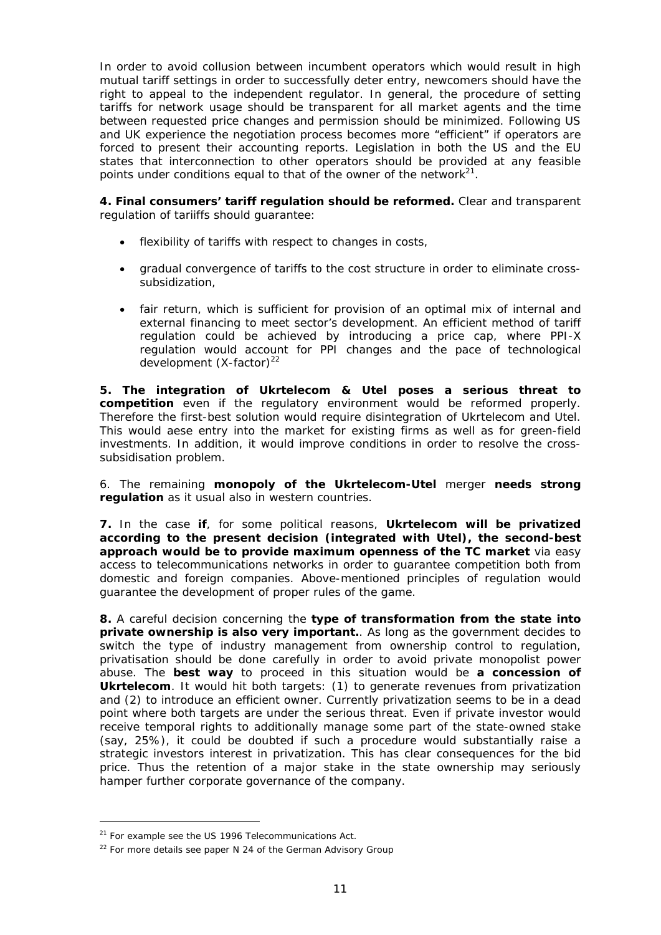In order to avoid collusion between incumbent operators which would result in high mutual tariff settings in order to successfully deter entry, newcomers should have the right to appeal to the independent regulator. In general, the procedure of setting tariffs for network usage should be transparent for all market agents and the time between requested price changes and permission should be minimized. Following US and UK experience the negotiation process becomes more "efficient" if operators are forced to present their accounting reports. Legislation in both the US and the EU states that interconnection to other operators should be provided at any feasible points under conditions equal to that of the owner of the network $2^1$ .

*4. Final consumers' tariff regulation should be reformed.* Clear and transparent regulation of tariiffs should guarantee:

- flexibility of tariffs with respect to changes in costs,
- gradual convergence of tariffs to the cost structure in order to eliminate crosssubsidization,
- fair return, which is sufficient for provision of an optimal mix of internal and external financing to meet sector's development. An efficient method of tariff regulation could be achieved by introducing a price cap, where PPI-X regulation would account for PPI changes and the pace of technological development  $(X-factor)^{22}$

*5. The integration of Ukrtelecom & Utel poses a serious threat to competition* even if the regulatory environment would be reformed properly. Therefore the first-best solution would require disintegration of Ukrtelecom and Utel. This would aese entry into the market for existing firms as well as for green-field investments. In addition, it would improve conditions in order to resolve the crosssubsidisation problem.

6. The remaining **monopoly of the Ukrtelecom-Utel** merger **needs strong regulation** as it usual also in western countries.

**7.** In the case **if**, for some political reasons, *Ukrtelecom will be privatized according to the present decision (integrated with Utel), the second-best approach would be to provide maximum openness of the TC market* via easy access to telecommunications networks in order to guarantee competition both from domestic and foreign companies. Above-mentioned principles of regulation would guarantee the development of proper rules of the game.

*8.* A careful decision concerning the *type of transformation from the state into private ownership is also very important.*. As long as the government decides to switch the type of industry management from ownership control to regulation, privatisation should be done carefully in order to avoid private monopolist power abuse. The *best way* to proceed in this situation would be *a concession of*  **Ukrtelecom**. It would hit both targets: (1) to generate revenues from privatization and (2) to introduce an efficient owner. Currently privatization seems to be in a dead point where both targets are under the serious threat. Even if private investor would receive temporal rights to additionally manage some part of the state-owned stake (say, 25%), it could be doubted if such a procedure would substantially raise a strategic investors interest in privatization. This has clear consequences for the bid price. Thus the retention of a major stake in the state ownership may seriously hamper further corporate governance of the company.

-

<sup>&</sup>lt;sup>21</sup> For example see the US 1996 Telecommunications Act.

 $22$  For more details see paper N 24 of the German Advisory Group